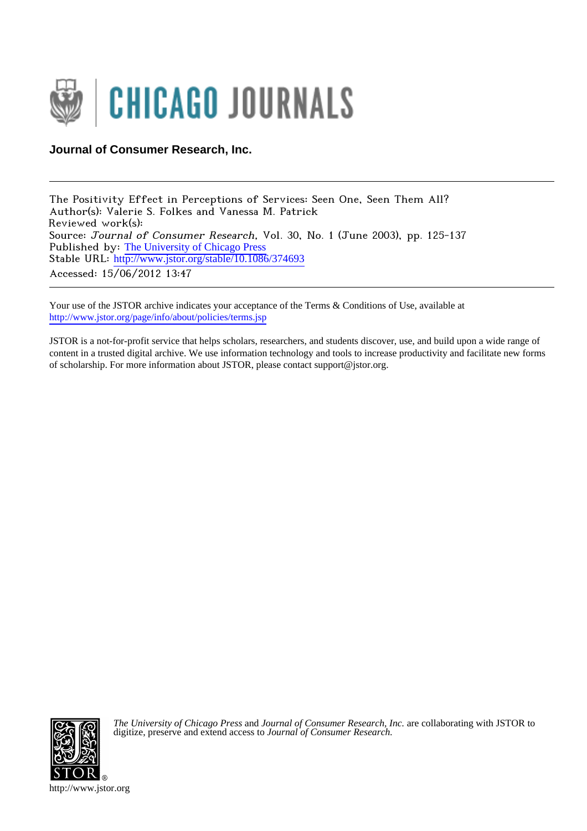

## **Journal of Consumer Research, Inc.**

The Positivity Effect in Perceptions of Services: Seen One, Seen Them All? Author(s): Valerie S. Folkes and Vanessa M. Patrick Reviewed work(s): Source: Journal of Consumer Research, Vol. 30, No. 1 (June 2003), pp. 125-137 Published by: [The University of Chicago Press](http://www.jstor.org/action/showPublisher?publisherCode=ucpress) Stable URL: http://www.jstor.org/stable/10.1086/374693 Accessed: 15/06/2012 13:47

Your use of the JSTOR archive indicates your acceptance of the Terms & Conditions of Use, available at <http://www.jstor.org/page/info/about/policies/terms.jsp>

JSTOR is a not-for-profit service that helps scholars, researchers, and students discover, use, and build upon a wide range of content in a trusted digital archive. We use information technology and tools to increase productivity and facilitate new forms of scholarship. For more information about JSTOR, please contact support@jstor.org.



*The University of Chicago Press* and *Journal of Consumer Research, Inc.* are collaborating with JSTOR to digitize, preserve and extend access to *Journal of Consumer Research.*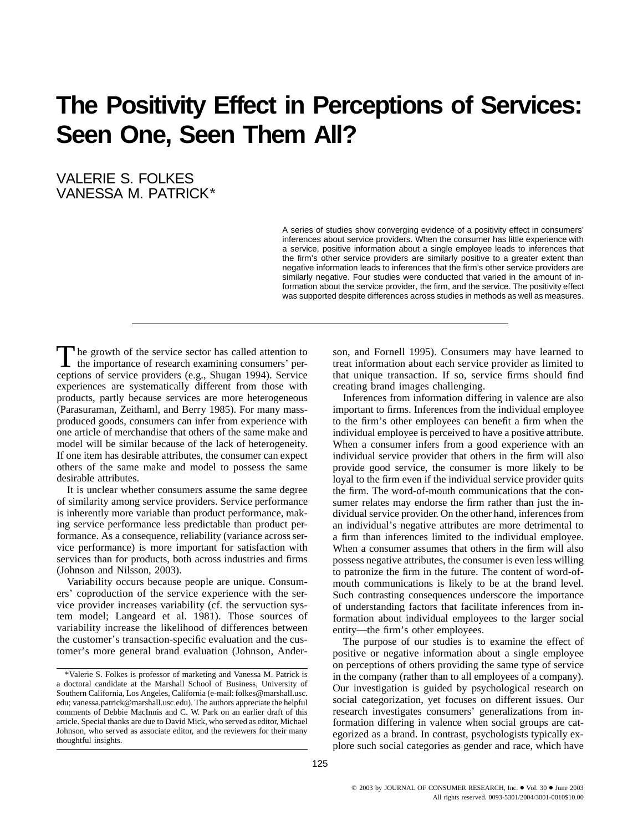# **The Positivity Effect in Perceptions of Services: Seen One, Seen Them All?**

VALERIE S. FOLKES VANESSA M. PATRICK\*

> A series of studies show converging evidence of a positivity effect in consumers' inferences about service providers. When the consumer has little experience with a service, positive information about a single employee leads to inferences that the firm's other service providers are similarly positive to a greater extent than negative information leads to inferences that the firm's other service providers are similarly negative. Four studies were conducted that varied in the amount of information about the service provider, the firm, and the service. The positivity effect was supported despite differences across studies in methods as well as measures.

The growth of the service sector has called attention to<br>the importance of research examining consumers' perceptions of service providers (e.g., Shugan 1994). Service experiences are systematically different from those with products, partly because services are more heterogeneous (Parasuraman, Zeithaml, and Berry 1985). For many massproduced goods, consumers can infer from experience with one article of merchandise that others of the same make and model will be similar because of the lack of heterogeneity. If one item has desirable attributes, the consumer can expect others of the same make and model to possess the same desirable attributes.

It is unclear whether consumers assume the same degree of similarity among service providers. Service performance is inherently more variable than product performance, making service performance less predictable than product performance. As a consequence, reliability (variance across service performance) is more important for satisfaction with services than for products, both across industries and firms (Johnson and Nilsson, 2003).

Variability occurs because people are unique. Consumers' coproduction of the service experience with the service provider increases variability (cf. the servuction system model; Langeard et al. 1981). Those sources of variability increase the likelihood of differences between the customer's transaction-specific evaluation and the customer's more general brand evaluation (Johnson, Ander-

son, and Fornell 1995). Consumers may have learned to treat information about each service provider as limited to that unique transaction. If so, service firms should find creating brand images challenging.

Inferences from information differing in valence are also important to firms. Inferences from the individual employee to the firm's other employees can benefit a firm when the individual employee is perceived to have a positive attribute. When a consumer infers from a good experience with an individual service provider that others in the firm will also provide good service, the consumer is more likely to be loyal to the firm even if the individual service provider quits the firm. The word-of-mouth communications that the consumer relates may endorse the firm rather than just the individual service provider. On the other hand, inferences from an individual's negative attributes are more detrimental to a firm than inferences limited to the individual employee. When a consumer assumes that others in the firm will also possess negative attributes, the consumer is even less willing to patronize the firm in the future. The content of word-ofmouth communications is likely to be at the brand level. Such contrasting consequences underscore the importance of understanding factors that facilitate inferences from information about individual employees to the larger social entity—the firm's other employees.

The purpose of our studies is to examine the effect of positive or negative information about a single employee on perceptions of others providing the same type of service in the company (rather than to all employees of a company). Our investigation is guided by psychological research on social categorization, yet focuses on different issues. Our research investigates consumers' generalizations from information differing in valence when social groups are categorized as a brand. In contrast, psychologists typically explore such social categories as gender and race, which have

<sup>\*</sup>Valerie S. Folkes is professor of marketing and Vanessa M. Patrick is a doctoral candidate at the Marshall School of Business, University of Southern California, Los Angeles, California (e-mail: folkes@marshall.usc. edu; vanessa.patrick@marshall.usc.edu). The authors appreciate the helpful comments of Debbie MacInnis and C. W. Park on an earlier draft of this article. Special thanks are due to David Mick, who served as editor, Michael Johnson, who served as associate editor, and the reviewers for their many thoughtful insights.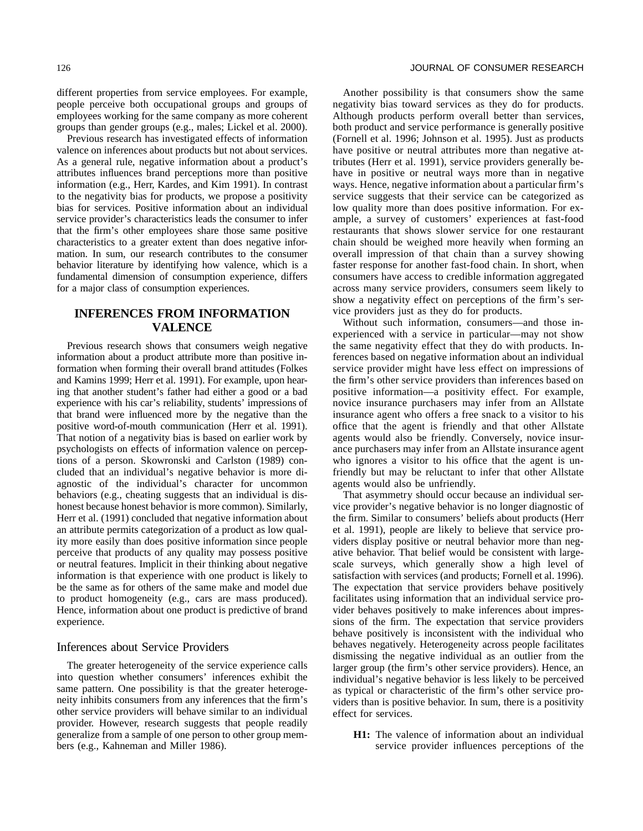different properties from service employees. For example, people perceive both occupational groups and groups of employees working for the same company as more coherent groups than gender groups (e.g., males; Lickel et al. 2000).

Previous research has investigated effects of information valence on inferences about products but not about services. As a general rule, negative information about a product's attributes influences brand perceptions more than positive information (e.g., Herr, Kardes, and Kim 1991). In contrast to the negativity bias for products, we propose a positivity bias for services. Positive information about an individual service provider's characteristics leads the consumer to infer that the firm's other employees share those same positive characteristics to a greater extent than does negative information. In sum, our research contributes to the consumer behavior literature by identifying how valence, which is a fundamental dimension of consumption experience, differs for a major class of consumption experiences.

## **INFERENCES FROM INFORMATION VALENCE**

Previous research shows that consumers weigh negative information about a product attribute more than positive information when forming their overall brand attitudes (Folkes and Kamins 1999; Herr et al. 1991). For example, upon hearing that another student's father had either a good or a bad experience with his car's reliability, students' impressions of that brand were influenced more by the negative than the positive word-of-mouth communication (Herr et al. 1991). That notion of a negativity bias is based on earlier work by psychologists on effects of information valence on perceptions of a person. Skowronski and Carlston (1989) concluded that an individual's negative behavior is more diagnostic of the individual's character for uncommon behaviors (e.g., cheating suggests that an individual is dishonest because honest behavior is more common). Similarly, Herr et al. (1991) concluded that negative information about an attribute permits categorization of a product as low quality more easily than does positive information since people perceive that products of any quality may possess positive or neutral features. Implicit in their thinking about negative information is that experience with one product is likely to be the same as for others of the same make and model due to product homogeneity (e.g., cars are mass produced). Hence, information about one product is predictive of brand experience.

## Inferences about Service Providers

The greater heterogeneity of the service experience calls into question whether consumers' inferences exhibit the same pattern. One possibility is that the greater heterogeneity inhibits consumers from any inferences that the firm's other service providers will behave similar to an individual provider. However, research suggests that people readily generalize from a sample of one person to other group members (e.g., Kahneman and Miller 1986).

Another possibility is that consumers show the same negativity bias toward services as they do for products. Although products perform overall better than services, both product and service performance is generally positive (Fornell et al. 1996; Johnson et al. 1995). Just as products have positive or neutral attributes more than negative attributes (Herr et al. 1991), service providers generally behave in positive or neutral ways more than in negative ways. Hence, negative information about a particular firm's service suggests that their service can be categorized as low quality more than does positive information. For example, a survey of customers' experiences at fast-food restaurants that shows slower service for one restaurant chain should be weighed more heavily when forming an overall impression of that chain than a survey showing faster response for another fast-food chain. In short, when consumers have access to credible information aggregated across many service providers, consumers seem likely to show a negativity effect on perceptions of the firm's service providers just as they do for products.

Without such information, consumers—and those inexperienced with a service in particular—may not show the same negativity effect that they do with products. Inferences based on negative information about an individual service provider might have less effect on impressions of the firm's other service providers than inferences based on positive information—a positivity effect. For example, novice insurance purchasers may infer from an Allstate insurance agent who offers a free snack to a visitor to his office that the agent is friendly and that other Allstate agents would also be friendly. Conversely, novice insurance purchasers may infer from an Allstate insurance agent who ignores a visitor to his office that the agent is unfriendly but may be reluctant to infer that other Allstate agents would also be unfriendly.

That asymmetry should occur because an individual service provider's negative behavior is no longer diagnostic of the firm. Similar to consumers' beliefs about products (Herr et al. 1991), people are likely to believe that service providers display positive or neutral behavior more than negative behavior. That belief would be consistent with largescale surveys, which generally show a high level of satisfaction with services (and products; Fornell et al. 1996). The expectation that service providers behave positively facilitates using information that an individual service provider behaves positively to make inferences about impressions of the firm. The expectation that service providers behave positively is inconsistent with the individual who behaves negatively. Heterogeneity across people facilitates dismissing the negative individual as an outlier from the larger group (the firm's other service providers). Hence, an individual's negative behavior is less likely to be perceived as typical or characteristic of the firm's other service providers than is positive behavior. In sum, there is a positivity effect for services.

**H1:** The valence of information about an individual service provider influences perceptions of the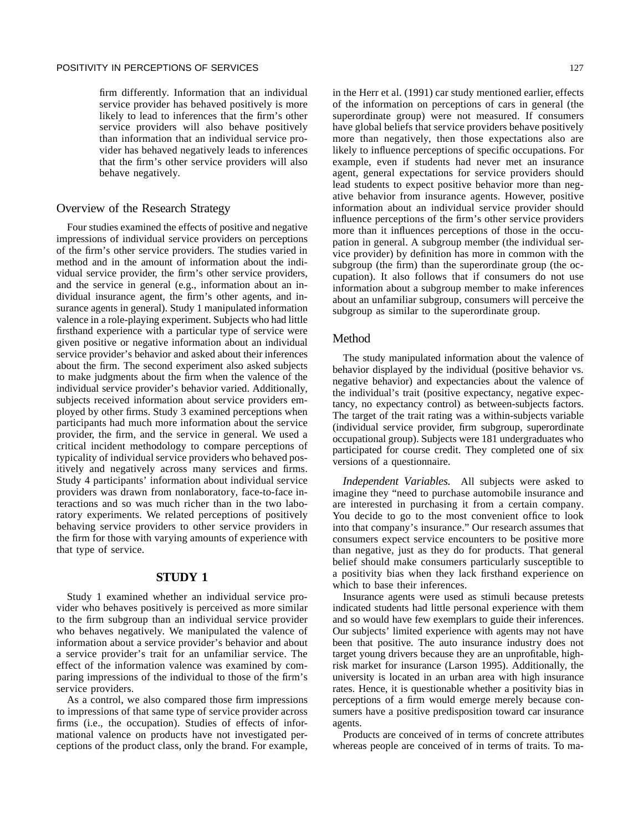firm differently. Information that an individual service provider has behaved positively is more likely to lead to inferences that the firm's other service providers will also behave positively than information that an individual service provider has behaved negatively leads to inferences that the firm's other service providers will also behave negatively.

## Overview of the Research Strategy

Four studies examined the effects of positive and negative impressions of individual service providers on perceptions of the firm's other service providers. The studies varied in method and in the amount of information about the individual service provider, the firm's other service providers, and the service in general (e.g., information about an individual insurance agent, the firm's other agents, and insurance agents in general). Study 1 manipulated information valence in a role-playing experiment. Subjects who had little firsthand experience with a particular type of service were given positive or negative information about an individual service provider's behavior and asked about their inferences about the firm. The second experiment also asked subjects to make judgments about the firm when the valence of the individual service provider's behavior varied. Additionally, subjects received information about service providers employed by other firms. Study 3 examined perceptions when participants had much more information about the service provider, the firm, and the service in general. We used a critical incident methodology to compare perceptions of typicality of individual service providers who behaved positively and negatively across many services and firms. Study 4 participants' information about individual service providers was drawn from nonlaboratory, face-to-face interactions and so was much richer than in the two laboratory experiments. We related perceptions of positively behaving service providers to other service providers in the firm for those with varying amounts of experience with that type of service.

## **STUDY 1**

Study 1 examined whether an individual service provider who behaves positively is perceived as more similar to the firm subgroup than an individual service provider who behaves negatively. We manipulated the valence of information about a service provider's behavior and about a service provider's trait for an unfamiliar service. The effect of the information valence was examined by comparing impressions of the individual to those of the firm's service providers.

As a control, we also compared those firm impressions to impressions of that same type of service provider across firms (i.e., the occupation). Studies of effects of informational valence on products have not investigated perceptions of the product class, only the brand. For example, in the Herr et al. (1991) car study mentioned earlier, effects of the information on perceptions of cars in general (the superordinate group) were not measured. If consumers have global beliefs that service providers behave positively more than negatively, then those expectations also are likely to influence perceptions of specific occupations. For example, even if students had never met an insurance agent, general expectations for service providers should lead students to expect positive behavior more than negative behavior from insurance agents. However, positive information about an individual service provider should influence perceptions of the firm's other service providers more than it influences perceptions of those in the occupation in general. A subgroup member (the individual service provider) by definition has more in common with the subgroup (the firm) than the superordinate group (the occupation). It also follows that if consumers do not use information about a subgroup member to make inferences about an unfamiliar subgroup, consumers will perceive the subgroup as similar to the superordinate group.

#### Method

The study manipulated information about the valence of behavior displayed by the individual (positive behavior vs. negative behavior) and expectancies about the valence of the individual's trait (positive expectancy, negative expectancy, no expectancy control) as between-subjects factors. The target of the trait rating was a within-subjects variable (individual service provider, firm subgroup, superordinate occupational group). Subjects were 181 undergraduates who participated for course credit. They completed one of six versions of a questionnaire.

*Independent Variables.* All subjects were asked to imagine they "need to purchase automobile insurance and are interested in purchasing it from a certain company. You decide to go to the most convenient office to look into that company's insurance." Our research assumes that consumers expect service encounters to be positive more than negative, just as they do for products. That general belief should make consumers particularly susceptible to a positivity bias when they lack firsthand experience on which to base their inferences.

Insurance agents were used as stimuli because pretests indicated students had little personal experience with them and so would have few exemplars to guide their inferences. Our subjects' limited experience with agents may not have been that positive. The auto insurance industry does not target young drivers because they are an unprofitable, highrisk market for insurance (Larson 1995). Additionally, the university is located in an urban area with high insurance rates. Hence, it is questionable whether a positivity bias in perceptions of a firm would emerge merely because consumers have a positive predisposition toward car insurance agents.

Products are conceived of in terms of concrete attributes whereas people are conceived of in terms of traits. To ma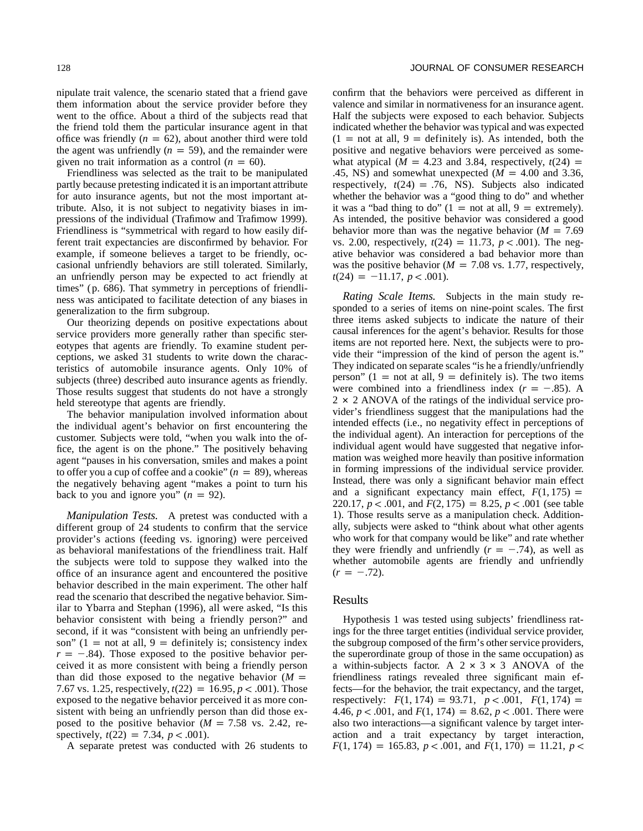nipulate trait valence, the scenario stated that a friend gave them information about the service provider before they went to the office. About a third of the subjects read that the friend told them the particular insurance agent in that office was friendly  $(n = 62)$ , about another third were told the agent was unfriendly  $(n = 59)$ , and the remainder were given no trait information as a control  $(n = 60)$ .

Friendliness was selected as the trait to be manipulated partly because pretesting indicated it is an important attribute for auto insurance agents, but not the most important attribute. Also, it is not subject to negativity biases in impressions of the individual (Trafimow and Trafimow 1999). Friendliness is "symmetrical with regard to how easily different trait expectancies are disconfirmed by behavior. For example, if someone believes a target to be friendly, occasional unfriendly behaviors are still tolerated. Similarly, an unfriendly person may be expected to act friendly at times" (p. 686). That symmetry in perceptions of friendliness was anticipated to facilitate detection of any biases in generalization to the firm subgroup.

Our theorizing depends on positive expectations about service providers more generally rather than specific stereotypes that agents are friendly. To examine student perceptions, we asked 31 students to write down the characteristics of automobile insurance agents. Only 10% of subjects (three) described auto insurance agents as friendly. Those results suggest that students do not have a strongly held stereotype that agents are friendly.

The behavior manipulation involved information about the individual agent's behavior on first encountering the customer. Subjects were told, "when you walk into the office, the agent is on the phone." The positively behaving agent "pauses in his conversation, smiles and makes a point to offer you a cup of coffee and a cookie"  $(n = 89)$ , whereas the negatively behaving agent "makes a point to turn his back to you and ignore you"  $(n = 92)$ .

*Manipulation Tests.* A pretest was conducted with a different group of 24 students to confirm that the service provider's actions (feeding vs. ignoring) were perceived as behavioral manifestations of the friendliness trait. Half the subjects were told to suppose they walked into the office of an insurance agent and encountered the positive behavior described in the main experiment. The other half read the scenario that described the negative behavior. Similar to Ybarra and Stephan (1996), all were asked, "Is this behavior consistent with being a friendly person?" and second, if it was "consistent with being an unfriendly person" (1 = not at all, 9 = definitely is; consistency index  $r = -.84$ ). Those exposed to the positive behavior perceived it as more consistent with being a friendly person than did those exposed to the negative behavior  $(M =$ 7.67 vs. 1.25, respectively,  $t(22) = 16.95$ ,  $p < .001$ ). Those exposed to the negative behavior perceived it as more consistent with being an unfriendly person than did those exposed to the positive behavior ( $M = 7.58$  vs. 2.42, respectively,  $t(22) = 7.34$ ,  $p < .001$ ).

A separate pretest was conducted with 26 students to

confirm that the behaviors were perceived as different in valence and similar in normativeness for an insurance agent. Half the subjects were exposed to each behavior. Subjects indicated whether the behavior was typical and was expected  $(1 = not at all, 9 = definitely is)$ . As intended, both the positive and negative behaviors were perceived as somewhat atypical ( $M = 4.23$  and 3.84, respectively,  $t(24) =$ .45, NS) and somewhat unexpected  $(M = 4.00$  and 3.36, respectively,  $t(24) = .76$ , NS). Subjects also indicated whether the behavior was a "good thing to do" and whether it was a "bad thing to do"  $(1 = not at all, 9 = extremely)$ . As intended, the positive behavior was considered a good behavior more than was the negative behavior ( $M = 7.69$ vs. 2.00, respectively,  $t(24) = 11.73$ ,  $p < .001$ ). The negative behavior was considered a bad behavior more than was the positive behavior ( $M = 7.08$  vs. 1.77, respectively,  $t(24) = -11.17, p < .001$ .

*Rating Scale Items.* Subjects in the main study responded to a series of items on nine-point scales. The first three items asked subjects to indicate the nature of their causal inferences for the agent's behavior. Results for those items are not reported here. Next, the subjects were to provide their "impression of the kind of person the agent is." They indicated on separate scales "is he a friendly/unfriendly person" (1 = not at all, 9 = definitely is). The two items were combined into a friendliness index  $(r = -.85)$ . A  $2 \times 2$  ANOVA of the ratings of the individual service provider's friendliness suggest that the manipulations had the intended effects (i.e., no negativity effect in perceptions of the individual agent). An interaction for perceptions of the individual agent would have suggested that negative information was weighed more heavily than positive information in forming impressions of the individual service provider. Instead, there was only a significant behavior main effect and a significant expectancy main effect,  $F(1, 175) =$ 220.17,  $p < .001$ , and  $F(2, 175) = 8.25$ ,  $p < .001$  (see table 1). Those results serve as a manipulation check. Additionally, subjects were asked to "think about what other agents who work for that company would be like" and rate whether they were friendly and unfriendly  $(r = -.74)$ , as well as whether automobile agents are friendly and unfriendly  $(r = -.72)$ .

#### Results

Hypothesis 1 was tested using subjects' friendliness ratings for the three target entities (individual service provider, the subgroup composed of the firm's other service providers, the superordinate group of those in the same occupation) as a within-subjects factor. A  $2 \times 3 \times 3$  ANOVA of the friendliness ratings revealed three significant main effects—for the behavior, the trait expectancy, and the target, respectively:  $F(1, 174) = 93.71$ ,  $p < .001$ ,  $F(1, 174) =$ 4.46,  $p < .001$ , and  $F(1, 174) = 8.62$ ,  $p < .001$ . There were also two interactions—a significant valence by target interaction and a trait expectancy by target interaction,  $F(1, 174) = 165.83, p < .001,$  and  $F(1, 170) = 11.21, p < .001$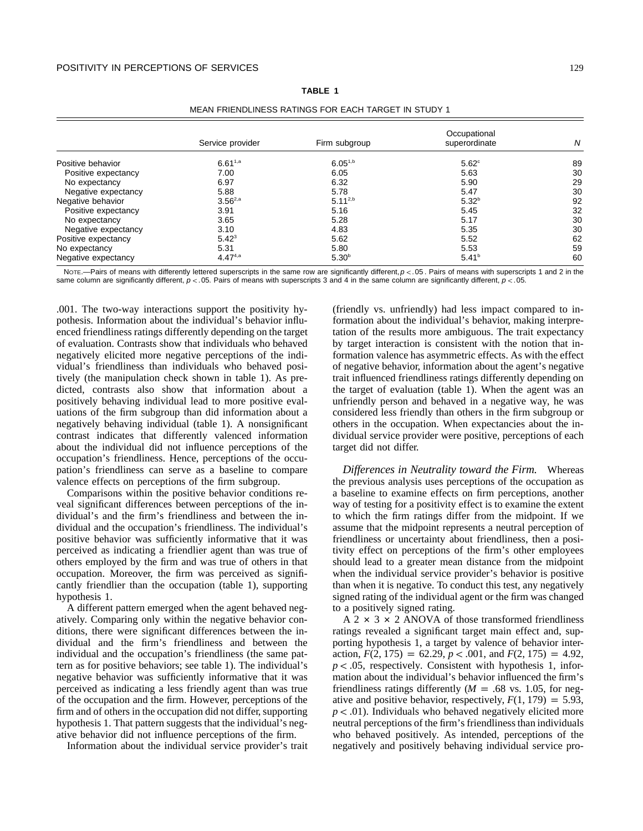|                     | Service provider | Firm subgroup | Occupational<br>superordinate | N  |
|---------------------|------------------|---------------|-------------------------------|----|
| Positive behavior   | $6.61^{1,a}$     | $6.05^{1,b}$  | $5.62^{\circ}$                | 89 |
| Positive expectancy | 7.00             | 6.05          | 5.63                          | 30 |
| No expectancy       | 6.97             | 6.32          | 5.90                          | 29 |
| Negative expectancy | 5.88             | 5.78          | 5.47                          | 30 |
| Negative behavior   | $3.56^{2,a}$     | $5.11^{2,b}$  | $5.32^{b}$                    | 92 |
| Positive expectancy | 3.91             | 5.16          | 5.45                          | 32 |
| No expectancy       | 3.65             | 5.28          | 5.17                          | 30 |
| Negative expectancy | 3.10             | 4.83          | 5.35                          | 30 |
| Positive expectancy | $5.42^3$         | 5.62          | 5.52                          | 62 |
| No expectancy       | 5.31             | 5.80          | 5.53                          | 59 |
| Negative expectancy | $4.47^{4,a}$     | $5.30^{b}$    | $5.41^{b}$                    | 60 |

**TABLE 1**

MEAN FRIENDLINESS RATINGS FOR EACH TARGET IN STUDY 1

NOTE.—Pairs of means with differently lettered superscripts in the same row are significantly different,  $p < 0.05$ . Pairs of means with superscripts 1 and 2 in the same column are significantly different,  $p < 0.05$ . Pairs of means with superscripts 3 and 4 in the same column are significantly different,  $p < 0.05$ .

.001. The two-way interactions support the positivity hypothesis. Information about the individual's behavior influenced friendliness ratings differently depending on the target of evaluation. Contrasts show that individuals who behaved negatively elicited more negative perceptions of the individual's friendliness than individuals who behaved positively (the manipulation check shown in table 1). As predicted, contrasts also show that information about a positively behaving individual lead to more positive evaluations of the firm subgroup than did information about a negatively behaving individual (table 1). A nonsignificant contrast indicates that differently valenced information about the individual did not influence perceptions of the occupation's friendliness. Hence, perceptions of the occupation's friendliness can serve as a baseline to compare valence effects on perceptions of the firm subgroup.

Comparisons within the positive behavior conditions reveal significant differences between perceptions of the individual's and the firm's friendliness and between the individual and the occupation's friendliness. The individual's positive behavior was sufficiently informative that it was perceived as indicating a friendlier agent than was true of others employed by the firm and was true of others in that occupation. Moreover, the firm was perceived as significantly friendlier than the occupation (table 1), supporting hypothesis 1.

A different pattern emerged when the agent behaved negatively. Comparing only within the negative behavior conditions, there were significant differences between the individual and the firm's friendliness and between the individual and the occupation's friendliness (the same pattern as for positive behaviors; see table 1). The individual's negative behavior was sufficiently informative that it was perceived as indicating a less friendly agent than was true of the occupation and the firm. However, perceptions of the firm and of others in the occupation did not differ, supporting hypothesis 1. That pattern suggests that the individual's negative behavior did not influence perceptions of the firm.

Information about the individual service provider's trait

(friendly vs. unfriendly) had less impact compared to information about the individual's behavior, making interpretation of the results more ambiguous. The trait expectancy by target interaction is consistent with the notion that information valence has asymmetric effects. As with the effect of negative behavior, information about the agent's negative trait influenced friendliness ratings differently depending on the target of evaluation (table 1). When the agent was an unfriendly person and behaved in a negative way, he was considered less friendly than others in the firm subgroup or others in the occupation. When expectancies about the individual service provider were positive, perceptions of each target did not differ.

*Differences in Neutrality toward the Firm.* Whereas the previous analysis uses perceptions of the occupation as a baseline to examine effects on firm perceptions, another way of testing for a positivity effect is to examine the extent to which the firm ratings differ from the midpoint. If we assume that the midpoint represents a neutral perception of friendliness or uncertainty about friendliness, then a positivity effect on perceptions of the firm's other employees should lead to a greater mean distance from the midpoint when the individual service provider's behavior is positive than when it is negative. To conduct this test, any negatively signed rating of the individual agent or the firm was changed to a positively signed rating.

A 2  $\times$  3  $\times$  2 ANOVA of those transformed friendliness ratings revealed a significant target main effect and, supporting hypothesis 1, a target by valence of behavior interaction,  $F(2, 175) = 62.29$ ,  $p < .001$ , and  $F(2, 175) = 4.92$ ,  $p < .05$ , respectively. Consistent with hypothesis 1, information about the individual's behavior influenced the firm's friendliness ratings differently ( $M = .68$  vs. 1.05, for negative and positive behavior, respectively,  $F(1, 179) = 5.93$ ,  $p < .01$ ). Individuals who behaved negatively elicited more neutral perceptions of the firm's friendliness than individuals who behaved positively. As intended, perceptions of the negatively and positively behaving individual service pro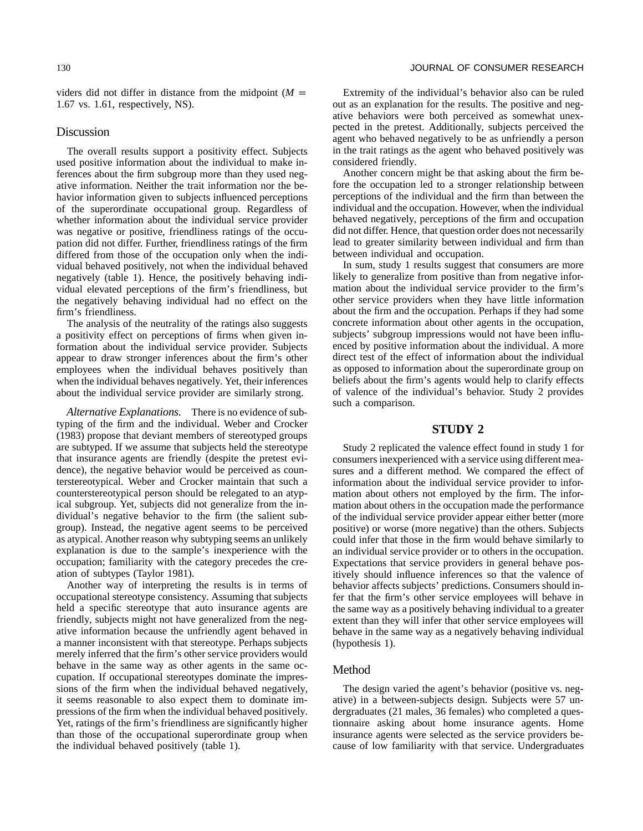viders did not differ in distance from the midpoint  $(M =$ 1.67 vs. 1.61, respectively, NS).

## Discussion

The overall results support a positivity effect. Subjects used positive information about the individual to make inferences about the firm subgroup more than they used negative information. Neither the trait information nor the behavior information given to subjects influenced perceptions of the superordinate occupational group. Regardless of whether information about the individual service provider was negative or positive, friendliness ratings of the occupation did not differ. Further, friendliness ratings of the firm differed from those of the occupation only when the individual behaved positively, not when the individual behaved negatively (table 1). Hence, the positively behaving individual elevated perceptions of the firm's friendliness, but the negatively behaving individual had no effect on the firm's friendliness.

The analysis of the neutrality of the ratings also suggests a positivity effect on perceptions of firms when given information about the individual service provider. Subjects appear to draw stronger inferences about the firm's other employees when the individual behaves positively than when the individual behaves negatively. Yet, their inferences about the individual service provider are similarly strong.

*Alternative Explanations.* There is no evidence of subtyping of the firm and the individual. Weber and Crocker (1983) propose that deviant members of stereotyped groups are subtyped. If we assume that subjects held the stereotype that insurance agents are friendly (despite the pretest evidence), the negative behavior would be perceived as counterstereotypical. Weber and Crocker maintain that such a counterstereotypical person should be relegated to an atypical subgroup. Yet, subjects did not generalize from the individual's negative behavior to the firm (the salient subgroup). Instead, the negative agent seems to be perceived as atypical. Another reason why subtyping seems an unlikely explanation is due to the sample's inexperience with the occupation; familiarity with the category precedes the creation of subtypes (Taylor 1981).

Another way of interpreting the results is in terms of occupational stereotype consistency. Assuming that subjects held a specific stereotype that auto insurance agents are friendly, subjects might not have generalized from the negative information because the unfriendly agent behaved in a manner inconsistent with that stereotype. Perhaps subjects merely inferred that the firm's other service providers would behave in the same way as other agents in the same occupation. If occupational stereotypes dominate the impressions of the firm when the individual behaved negatively, it seems reasonable to also expect them to dominate impressions of the firm when the individual behaved positively. Yet, ratings of the firm's friendliness are significantly higher than those of the occupational superordinate group when the individual behaved positively (table 1).

Extremity of the individual's behavior also can be ruled out as an explanation for the results. The positive and negative behaviors were both perceived as somewhat unexpected in the pretest. Additionally, subjects perceived the agent who behaved negatively to be as unfriendly a person in the trait ratings as the agent who behaved positively was considered friendly.

Another concern might be that asking about the firm before the occupation led to a stronger relationship between perceptions of the individual and the firm than between the individual and the occupation. However, when the individual behaved negatively, perceptions of the firm and occupation did not differ. Hence, that question order does not necessarily lead to greater similarity between individual and firm than between individual and occupation.

In sum, study 1 results suggest that consumers are more likely to generalize from positive than from negative information about the individual service provider to the firm's other service providers when they have little information about the firm and the occupation. Perhaps if they had some concrete information about other agents in the occupation, subjects' subgroup impressions would not have been influenced by positive information about the individual. A more direct test of the effect of information about the individual as opposed to information about the superordinate group on beliefs about the firm's agents would help to clarify effects of valence of the individual's behavior. Study 2 provides such a comparison.

## **STUDY 2**

Study 2 replicated the valence effect found in study 1 for consumers inexperienced with a service using different measures and a different method. We compared the effect of information about the individual service provider to information about others not employed by the firm. The information about others in the occupation made the performance of the individual service provider appear either better (more positive) or worse (more negative) than the others. Subjects could infer that those in the firm would behave similarly to an individual service provider or to others in the occupation. Expectations that service providers in general behave positively should influence inferences so that the valence of behavior affects subjects' predictions. Consumers should infer that the firm's other service employees will behave in the same way as a positively behaving individual to a greater extent than they will infer that other service employees will behave in the same way as a negatively behaving individual (hypothesis 1).

### Method

The design varied the agent's behavior (positive vs. negative) in a between-subjects design. Subjects were 57 undergraduates (21 males, 36 females) who completed a questionnaire asking about home insurance agents. Home insurance agents were selected as the service providers because of low familiarity with that service. Undergraduates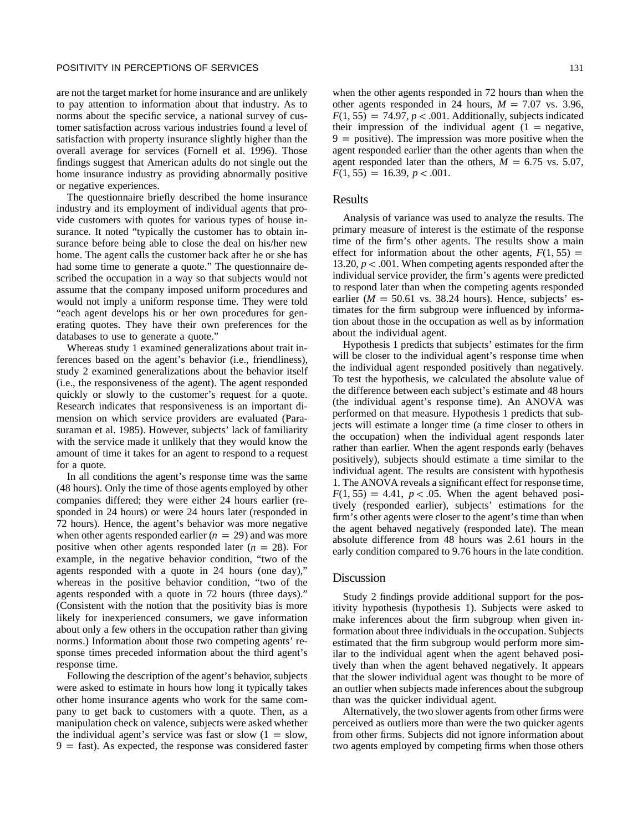are not the target market for home insurance and are unlikely to pay attention to information about that industry. As to norms about the specific service, a national survey of customer satisfaction across various industries found a level of satisfaction with property insurance slightly higher than the overall average for services (Fornell et al. 1996). Those findings suggest that American adults do not single out the home insurance industry as providing abnormally positive or negative experiences.

The questionnaire briefly described the home insurance industry and its employment of individual agents that provide customers with quotes for various types of house insurance. It noted "typically the customer has to obtain insurance before being able to close the deal on his/her new home. The agent calls the customer back after he or she has had some time to generate a quote." The questionnaire described the occupation in a way so that subjects would not assume that the company imposed uniform procedures and would not imply a uniform response time. They were told "each agent develops his or her own procedures for generating quotes. They have their own preferences for the databases to use to generate a quote."

Whereas study 1 examined generalizations about trait inferences based on the agent's behavior (i.e., friendliness), study 2 examined generalizations about the behavior itself (i.e., the responsiveness of the agent). The agent responded quickly or slowly to the customer's request for a quote. Research indicates that responsiveness is an important dimension on which service providers are evaluated (Parasuraman et al. 1985). However, subjects' lack of familiarity with the service made it unlikely that they would know the amount of time it takes for an agent to respond to a request for a quote.

In all conditions the agent's response time was the same (48 hours). Only the time of those agents employed by other companies differed; they were either 24 hours earlier (responded in 24 hours) or were 24 hours later (responded in 72 hours). Hence, the agent's behavior was more negative when other agents responded earlier  $(n = 29)$  and was more positive when other agents responded later  $(n = 28)$ . For example, in the negative behavior condition, "two of the agents responded with a quote in 24 hours (one day)," whereas in the positive behavior condition, "two of the agents responded with a quote in 72 hours (three days)." (Consistent with the notion that the positivity bias is more likely for inexperienced consumers, we gave information about only a few others in the occupation rather than giving norms.) Information about those two competing agents' response times preceded information about the third agent's response time.

Following the description of the agent's behavior, subjects were asked to estimate in hours how long it typically takes other home insurance agents who work for the same company to get back to customers with a quote. Then, as a manipulation check on valence, subjects were asked whether the individual agent's service was fast or slow  $(1 =$  slow,  $9 =$  fast). As expected, the response was considered faster when the other agents responded in 72 hours than when the other agents responded in 24 hours,  $M = 7.07$  vs. 3.96,  $F(1, 55) = 74.97$ ,  $p < .001$ . Additionally, subjects indicated their impression of the individual agent  $(1$  = negative,  $9 =$  positive). The impression was more positive when the agent responded earlier than the other agents than when the agent responded later than the others,  $M = 6.75$  vs. 5.07,  $F(1, 55) = 16.39, p < .001.$ 

#### Results

Analysis of variance was used to analyze the results. The primary measure of interest is the estimate of the response time of the firm's other agents. The results show a main effect for information about the other agents,  $F(1, 55) =$ 13.20,  $p < .001$ . When competing agents responded after the individual service provider, the firm's agents were predicted to respond later than when the competing agents responded earlier ( $M = 50.61$  vs. 38.24 hours). Hence, subjects' estimates for the firm subgroup were influenced by information about those in the occupation as well as by information about the individual agent.

Hypothesis 1 predicts that subjects' estimates for the firm will be closer to the individual agent's response time when the individual agent responded positively than negatively. To test the hypothesis, we calculated the absolute value of the difference between each subject's estimate and 48 hours (the individual agent's response time). An ANOVA was performed on that measure. Hypothesis 1 predicts that subjects will estimate a longer time (a time closer to others in the occupation) when the individual agent responds later rather than earlier. When the agent responds early (behaves positively), subjects should estimate a time similar to the individual agent. The results are consistent with hypothesis 1. The ANOVA reveals a significant effect for response time,  $F(1, 55) = 4.41$ ,  $p < .05$ . When the agent behaved positively (responded earlier), subjects' estimations for the firm's other agents were closer to the agent's time than when the agent behaved negatively (responded late). The mean absolute difference from 48 hours was 2.61 hours in the early condition compared to 9.76 hours in the late condition.

#### Discussion

Study 2 findings provide additional support for the positivity hypothesis (hypothesis 1). Subjects were asked to make inferences about the firm subgroup when given information about three individuals in the occupation. Subjects estimated that the firm subgroup would perform more similar to the individual agent when the agent behaved positively than when the agent behaved negatively. It appears that the slower individual agent was thought to be more of an outlier when subjects made inferences about the subgroup than was the quicker individual agent.

Alternatively, the two slower agents from other firms were perceived as outliers more than were the two quicker agents from other firms. Subjects did not ignore information about two agents employed by competing firms when those others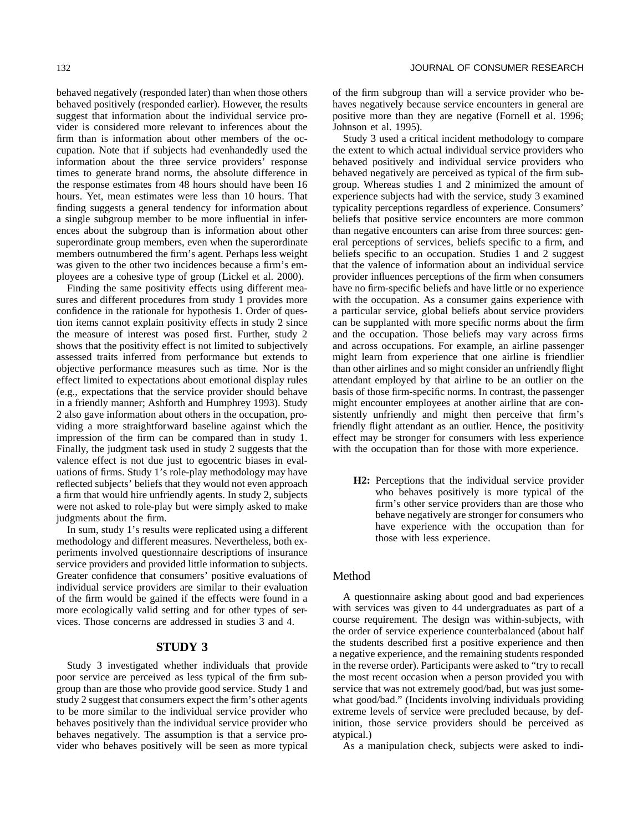behaved negatively (responded later) than when those others behaved positively (responded earlier). However, the results suggest that information about the individual service provider is considered more relevant to inferences about the firm than is information about other members of the occupation. Note that if subjects had evenhandedly used the information about the three service providers' response times to generate brand norms, the absolute difference in the response estimates from 48 hours should have been 16 hours. Yet, mean estimates were less than 10 hours. That finding suggests a general tendency for information about a single subgroup member to be more influential in inferences about the subgroup than is information about other superordinate group members, even when the superordinate members outnumbered the firm's agent. Perhaps less weight was given to the other two incidences because a firm's employees are a cohesive type of group (Lickel et al. 2000).

Finding the same positivity effects using different measures and different procedures from study 1 provides more confidence in the rationale for hypothesis 1. Order of question items cannot explain positivity effects in study 2 since the measure of interest was posed first. Further, study 2 shows that the positivity effect is not limited to subjectively assessed traits inferred from performance but extends to objective performance measures such as time. Nor is the effect limited to expectations about emotional display rules (e.g., expectations that the service provider should behave in a friendly manner; Ashforth and Humphrey 1993). Study 2 also gave information about others in the occupation, providing a more straightforward baseline against which the impression of the firm can be compared than in study 1. Finally, the judgment task used in study 2 suggests that the valence effect is not due just to egocentric biases in evaluations of firms. Study 1's role-play methodology may have reflected subjects' beliefs that they would not even approach a firm that would hire unfriendly agents. In study 2, subjects were not asked to role-play but were simply asked to make judgments about the firm.

In sum, study 1's results were replicated using a different methodology and different measures. Nevertheless, both experiments involved questionnaire descriptions of insurance service providers and provided little information to subjects. Greater confidence that consumers' positive evaluations of individual service providers are similar to their evaluation of the firm would be gained if the effects were found in a more ecologically valid setting and for other types of services. Those concerns are addressed in studies 3 and 4.

#### **STUDY 3**

Study 3 investigated whether individuals that provide poor service are perceived as less typical of the firm subgroup than are those who provide good service. Study 1 and study 2 suggest that consumers expect the firm's other agents to be more similar to the individual service provider who behaves positively than the individual service provider who behaves negatively. The assumption is that a service provider who behaves positively will be seen as more typical of the firm subgroup than will a service provider who behaves negatively because service encounters in general are positive more than they are negative (Fornell et al. 1996; Johnson et al. 1995).

Study 3 used a critical incident methodology to compare the extent to which actual individual service providers who behaved positively and individual service providers who behaved negatively are perceived as typical of the firm subgroup. Whereas studies 1 and 2 minimized the amount of experience subjects had with the service, study 3 examined typicality perceptions regardless of experience. Consumers' beliefs that positive service encounters are more common than negative encounters can arise from three sources: general perceptions of services, beliefs specific to a firm, and beliefs specific to an occupation. Studies 1 and 2 suggest that the valence of information about an individual service provider influences perceptions of the firm when consumers have no firm-specific beliefs and have little or no experience with the occupation. As a consumer gains experience with a particular service, global beliefs about service providers can be supplanted with more specific norms about the firm and the occupation. Those beliefs may vary across firms and across occupations. For example, an airline passenger might learn from experience that one airline is friendlier than other airlines and so might consider an unfriendly flight attendant employed by that airline to be an outlier on the basis of those firm-specific norms. In contrast, the passenger might encounter employees at another airline that are consistently unfriendly and might then perceive that firm's friendly flight attendant as an outlier. Hence, the positivity effect may be stronger for consumers with less experience with the occupation than for those with more experience.

**H2:** Perceptions that the individual service provider who behaves positively is more typical of the firm's other service providers than are those who behave negatively are stronger for consumers who have experience with the occupation than for those with less experience.

#### Method

A questionnaire asking about good and bad experiences with services was given to 44 undergraduates as part of a course requirement. The design was within-subjects, with the order of service experience counterbalanced (about half the students described first a positive experience and then a negative experience, and the remaining students responded in the reverse order). Participants were asked to "try to recall the most recent occasion when a person provided you with service that was not extremely good/bad, but was just somewhat good/bad." (Incidents involving individuals providing extreme levels of service were precluded because, by definition, those service providers should be perceived as atypical.)

As a manipulation check, subjects were asked to indi-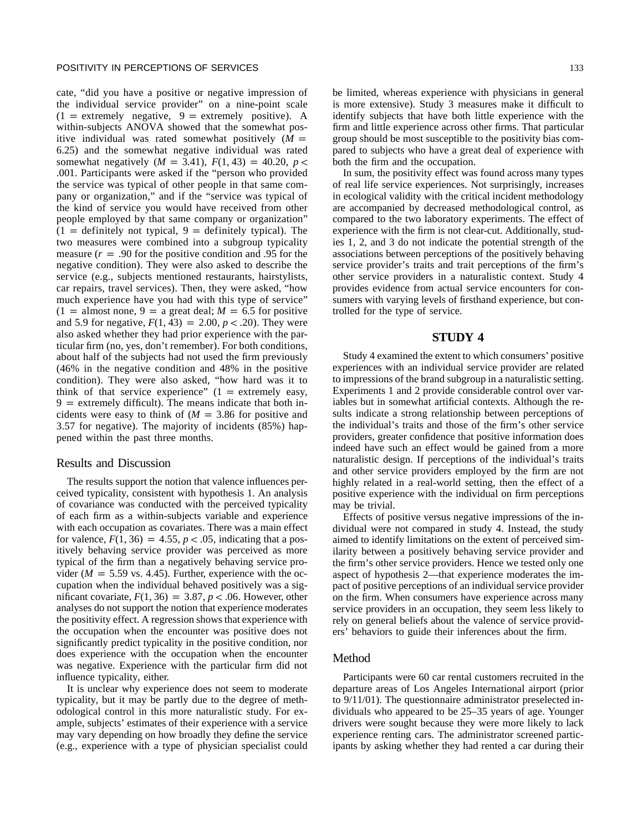cate, "did you have a positive or negative impression of the individual service provider" on a nine-point scale  $(1$  = extremely negative, 9 = extremely positive). A within-subjects ANOVA showed that the somewhat positive individual was rated somewhat positively  $(M =$ 6.25) and the somewhat negative individual was rated somewhat negatively  $(M = 3.41)$ ,  $F(1, 43) = 40.20$ ,  $p <$ .001. Participants were asked if the "person who provided the service was typical of other people in that same company or organization," and if the "service was typical of the kind of service you would have received from other people employed by that same company or organization"  $(1 =$  definitely not typical,  $9 =$  definitely typical). The two measures were combined into a subgroup typicality measure  $(r = .90$  for the positive condition and .95 for the negative condition). They were also asked to describe the service (e.g., subjects mentioned restaurants, hairstylists, car repairs, travel services). Then, they were asked, "how much experience have you had with this type of service"  $(1 = \text{almost none}, 9 = \text{a great deal}; M = 6.5$  for positive and 5.9 for negative,  $F(1, 43) = 2.00, p < .20$ . They were also asked whether they had prior experience with the particular firm (no, yes, don't remember). For both conditions, about half of the subjects had not used the firm previously (46% in the negative condition and 48% in the positive condition). They were also asked, "how hard was it to think of that service experience"  $(1 =$  extremely easy,  $9$  = extremely difficult). The means indicate that both incidents were easy to think of  $(M = 3.86$  for positive and 3.57 for negative). The majority of incidents (85%) happened within the past three months.

#### Results and Discussion

The results support the notion that valence influences perceived typicality, consistent with hypothesis 1. An analysis of covariance was conducted with the perceived typicality of each firm as a within-subjects variable and experience with each occupation as covariates. There was a main effect for valence,  $F(1, 36) = 4.55$ ,  $p < .05$ , indicating that a positively behaving service provider was perceived as more typical of the firm than a negatively behaving service provider ( $M = 5.59$  vs. 4.45). Further, experience with the occupation when the individual behaved positively was a significant covariate,  $F(1, 36) = 3.87$ ,  $p < .06$ . However, other analyses do not support the notion that experience moderates the positivity effect. A regression shows that experience with the occupation when the encounter was positive does not significantly predict typicality in the positive condition, nor does experience with the occupation when the encounter was negative. Experience with the particular firm did not influence typicality, either.

It is unclear why experience does not seem to moderate typicality, but it may be partly due to the degree of methodological control in this more naturalistic study. For example, subjects' estimates of their experience with a service may vary depending on how broadly they define the service (e.g., experience with a type of physician specialist could be limited, whereas experience with physicians in general is more extensive). Study 3 measures make it difficult to identify subjects that have both little experience with the firm and little experience across other firms. That particular group should be most susceptible to the positivity bias compared to subjects who have a great deal of experience with both the firm and the occupation.

In sum, the positivity effect was found across many types of real life service experiences. Not surprisingly, increases in ecological validity with the critical incident methodology are accompanied by decreased methodological control, as compared to the two laboratory experiments. The effect of experience with the firm is not clear-cut. Additionally, studies 1, 2, and 3 do not indicate the potential strength of the associations between perceptions of the positively behaving service provider's traits and trait perceptions of the firm's other service providers in a naturalistic context. Study 4 provides evidence from actual service encounters for consumers with varying levels of firsthand experience, but controlled for the type of service.

### **STUDY 4**

Study 4 examined the extent to which consumers' positive experiences with an individual service provider are related to impressions of the brand subgroup in a naturalistic setting. Experiments 1 and 2 provide considerable control over variables but in somewhat artificial contexts. Although the results indicate a strong relationship between perceptions of the individual's traits and those of the firm's other service providers, greater confidence that positive information does indeed have such an effect would be gained from a more naturalistic design. If perceptions of the individual's traits and other service providers employed by the firm are not highly related in a real-world setting, then the effect of a positive experience with the individual on firm perceptions may be trivial.

Effects of positive versus negative impressions of the individual were not compared in study 4. Instead, the study aimed to identify limitations on the extent of perceived similarity between a positively behaving service provider and the firm's other service providers. Hence we tested only one aspect of hypothesis 2—that experience moderates the impact of positive perceptions of an individual service provider on the firm. When consumers have experience across many service providers in an occupation, they seem less likely to rely on general beliefs about the valence of service providers' behaviors to guide their inferences about the firm.

#### Method

Participants were 60 car rental customers recruited in the departure areas of Los Angeles International airport (prior to 9/11/01). The questionnaire administrator preselected individuals who appeared to be 25–35 years of age. Younger drivers were sought because they were more likely to lack experience renting cars. The administrator screened participants by asking whether they had rented a car during their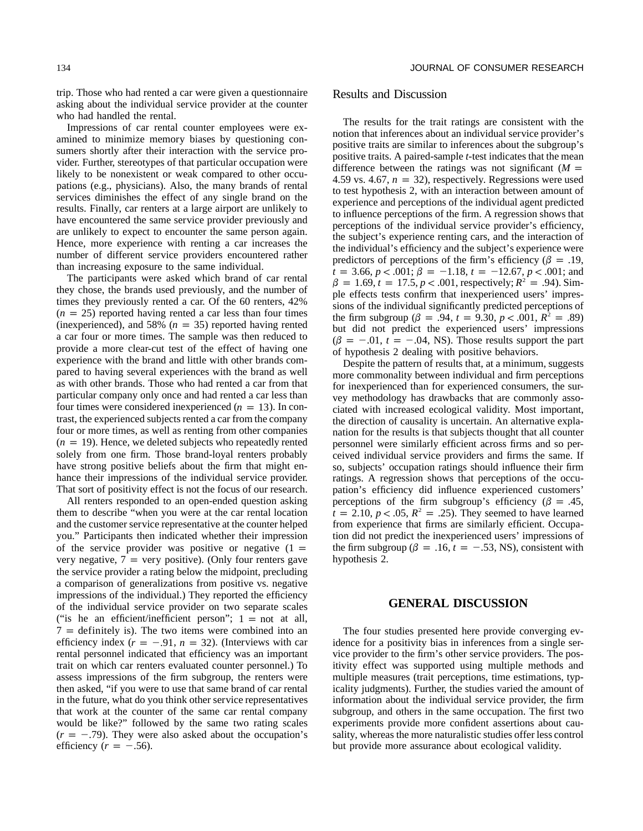trip. Those who had rented a car were given a questionnaire asking about the individual service provider at the counter who had handled the rental.

Impressions of car rental counter employees were examined to minimize memory biases by questioning consumers shortly after their interaction with the service provider. Further, stereotypes of that particular occupation were likely to be nonexistent or weak compared to other occupations (e.g., physicians). Also, the many brands of rental services diminishes the effect of any single brand on the results. Finally, car renters at a large airport are unlikely to have encountered the same service provider previously and are unlikely to expect to encounter the same person again. Hence, more experience with renting a car increases the number of different service providers encountered rather than increasing exposure to the same individual.

The participants were asked which brand of car rental they chose, the brands used previously, and the number of times they previously rented a car. Of the 60 renters, 42%  $(n = 25)$  reported having rented a car less than four times (inexperienced), and 58% ( $n = 35$ ) reported having rented a car four or more times. The sample was then reduced to provide a more clear-cut test of the effect of having one experience with the brand and little with other brands compared to having several experiences with the brand as well as with other brands. Those who had rented a car from that particular company only once and had rented a car less than four times were considered inexperienced  $(n = 13)$ . In contrast, the experienced subjects rented a car from the company four or more times, as well as renting from other companies  $(n = 19)$ . Hence, we deleted subjects who repeatedly rented solely from one firm. Those brand-loyal renters probably have strong positive beliefs about the firm that might enhance their impressions of the individual service provider. That sort of positivity effect is not the focus of our research.

All renters responded to an open-ended question asking them to describe "when you were at the car rental location and the customer service representative at the counter helped you." Participants then indicated whether their impression of the service provider was positive or negative  $(1 =$ very negative,  $7 = \text{very positive}$ . (Only four renters gave the service provider a rating below the midpoint, precluding a comparison of generalizations from positive vs. negative impressions of the individual.) They reported the efficiency of the individual service provider on two separate scales ("is he an efficient/inefficient person";  $1 = \text{not at all}$ ,  $7 =$  definitely is). The two items were combined into an efficiency index  $(r = -.91, n = 32)$ . (Interviews with car rental personnel indicated that efficiency was an important trait on which car renters evaluated counter personnel.) To assess impressions of the firm subgroup, the renters were then asked, "if you were to use that same brand of car rental in the future, what do you think other service representatives that work at the counter of the same car rental company would be like?" followed by the same two rating scales  $(r = -.79)$ . They were also asked about the occupation's efficiency ( $r = -.56$ ).

### Results and Discussion

The results for the trait ratings are consistent with the notion that inferences about an individual service provider's positive traits are similar to inferences about the subgroup's positive traits. A paired-sample *t*-test indicates that the mean difference between the ratings was not significant  $(M =$ 4.59 vs. 4.67,  $n = 32$ ), respectively. Regressions were used to test hypothesis 2, with an interaction between amount of experience and perceptions of the individual agent predicted to influence perceptions of the firm. A regression shows that perceptions of the individual service provider's efficiency, the subject's experience renting cars, and the interaction of the individual's efficiency and the subject's experience were predictors of perceptions of the firm's efficiency ( $\beta = .19$ ,  $t = 3.66, p < .001; \beta = -1.18, t = -12.67, p < .001;$  and  $\beta = 1.69, t = 17.5, p < .001$ , respectively;  $R^2 = .94$ ). Simple effects tests confirm that inexperienced users' impressions of the individual significantly predicted perceptions of the firm subgroup ( $\beta$  = .94,  $t$  = 9.30,  $p < .001$ ,  $R^2$  = .89) but did not predict the experienced users' impressions  $(\beta = -.01, t = -.04, NS)$ . Those results support the part of hypothesis 2 dealing with positive behaviors.

Despite the pattern of results that, at a minimum, suggests more commonality between individual and firm perceptions for inexperienced than for experienced consumers, the survey methodology has drawbacks that are commonly associated with increased ecological validity. Most important, the direction of causality is uncertain. An alternative explanation for the results is that subjects thought that all counter personnel were similarly efficient across firms and so perceived individual service providers and firms the same. If so, subjects' occupation ratings should influence their firm ratings. A regression shows that perceptions of the occupation's efficiency did influence experienced customers' perceptions of the firm subgroup's efficiency ( $\beta = .45$ ,  $t = 2.10, p < .05, R^2 = .25$ . They seemed to have learned from experience that firms are similarly efficient. Occupation did not predict the inexperienced users' impressions of the firm subgroup ( $\beta = .16$ ,  $t = -.53$ , NS), consistent with hypothesis 2.

#### **GENERAL DISCUSSION**

The four studies presented here provide converging evidence for a positivity bias in inferences from a single service provider to the firm's other service providers. The positivity effect was supported using multiple methods and multiple measures (trait perceptions, time estimations, typicality judgments). Further, the studies varied the amount of information about the individual service provider, the firm subgroup, and others in the same occupation. The first two experiments provide more confident assertions about causality, whereas the more naturalistic studies offer less control but provide more assurance about ecological validity.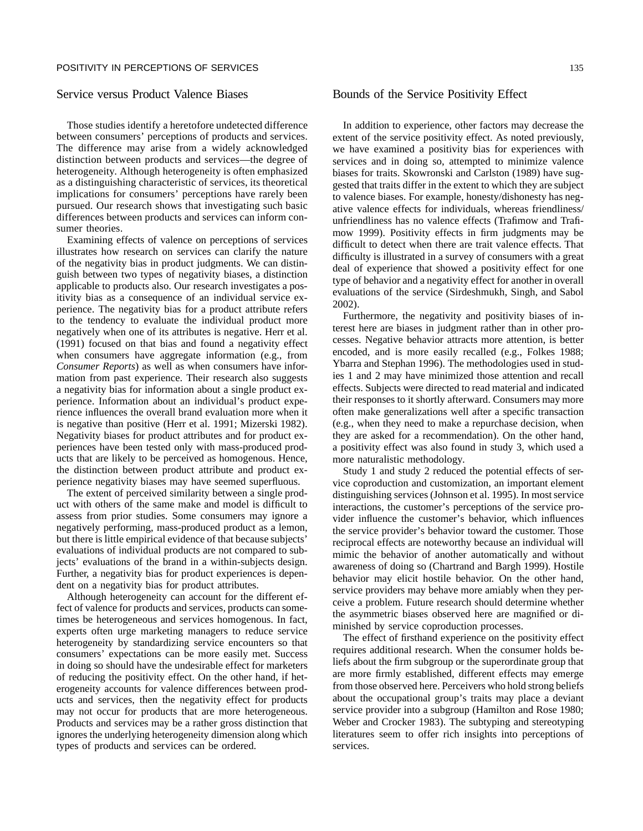#### Service versus Product Valence Biases

Those studies identify a heretofore undetected difference between consumers' perceptions of products and services. The difference may arise from a widely acknowledged distinction between products and services—the degree of heterogeneity. Although heterogeneity is often emphasized as a distinguishing characteristic of services, its theoretical implications for consumers' perceptions have rarely been pursued. Our research shows that investigating such basic differences between products and services can inform consumer theories.

Examining effects of valence on perceptions of services illustrates how research on services can clarify the nature of the negativity bias in product judgments. We can distinguish between two types of negativity biases, a distinction applicable to products also. Our research investigates a positivity bias as a consequence of an individual service experience. The negativity bias for a product attribute refers to the tendency to evaluate the individual product more negatively when one of its attributes is negative. Herr et al. (1991) focused on that bias and found a negativity effect when consumers have aggregate information (e.g., from *Consumer Reports*) as well as when consumers have information from past experience. Their research also suggests a negativity bias for information about a single product experience. Information about an individual's product experience influences the overall brand evaluation more when it is negative than positive (Herr et al. 1991; Mizerski 1982). Negativity biases for product attributes and for product experiences have been tested only with mass-produced products that are likely to be perceived as homogenous. Hence, the distinction between product attribute and product experience negativity biases may have seemed superfluous.

The extent of perceived similarity between a single product with others of the same make and model is difficult to assess from prior studies. Some consumers may ignore a negatively performing, mass-produced product as a lemon, but there is little empirical evidence of that because subjects' evaluations of individual products are not compared to subjects' evaluations of the brand in a within-subjects design. Further, a negativity bias for product experiences is dependent on a negativity bias for product attributes.

Although heterogeneity can account for the different effect of valence for products and services, products can sometimes be heterogeneous and services homogenous. In fact, experts often urge marketing managers to reduce service heterogeneity by standardizing service encounters so that consumers' expectations can be more easily met. Success in doing so should have the undesirable effect for marketers of reducing the positivity effect. On the other hand, if heterogeneity accounts for valence differences between products and services, then the negativity effect for products may not occur for products that are more heterogeneous. Products and services may be a rather gross distinction that ignores the underlying heterogeneity dimension along which types of products and services can be ordered.

#### Bounds of the Service Positivity Effect

In addition to experience, other factors may decrease the extent of the service positivity effect. As noted previously, we have examined a positivity bias for experiences with services and in doing so, attempted to minimize valence biases for traits. Skowronski and Carlston (1989) have suggested that traits differ in the extent to which they are subject to valence biases. For example, honesty/dishonesty has negative valence effects for individuals, whereas friendliness/ unfriendliness has no valence effects (Trafimow and Trafimow 1999). Positivity effects in firm judgments may be difficult to detect when there are trait valence effects. That difficulty is illustrated in a survey of consumers with a great deal of experience that showed a positivity effect for one type of behavior and a negativity effect for another in overall evaluations of the service (Sirdeshmukh, Singh, and Sabol 2002).

Furthermore, the negativity and positivity biases of interest here are biases in judgment rather than in other processes. Negative behavior attracts more attention, is better encoded, and is more easily recalled (e.g., Folkes 1988; Ybarra and Stephan 1996). The methodologies used in studies 1 and 2 may have minimized those attention and recall effects. Subjects were directed to read material and indicated their responses to it shortly afterward. Consumers may more often make generalizations well after a specific transaction (e.g., when they need to make a repurchase decision, when they are asked for a recommendation). On the other hand, a positivity effect was also found in study 3, which used a more naturalistic methodology.

Study 1 and study 2 reduced the potential effects of service coproduction and customization, an important element distinguishing services (Johnson et al. 1995). In most service interactions, the customer's perceptions of the service provider influence the customer's behavior, which influences the service provider's behavior toward the customer. Those reciprocal effects are noteworthy because an individual will mimic the behavior of another automatically and without awareness of doing so (Chartrand and Bargh 1999). Hostile behavior may elicit hostile behavior. On the other hand, service providers may behave more amiably when they perceive a problem. Future research should determine whether the asymmetric biases observed here are magnified or diminished by service coproduction processes.

The effect of firsthand experience on the positivity effect requires additional research. When the consumer holds beliefs about the firm subgroup or the superordinate group that are more firmly established, different effects may emerge from those observed here. Perceivers who hold strong beliefs about the occupational group's traits may place a deviant service provider into a subgroup (Hamilton and Rose 1980; Weber and Crocker 1983). The subtyping and stereotyping literatures seem to offer rich insights into perceptions of services.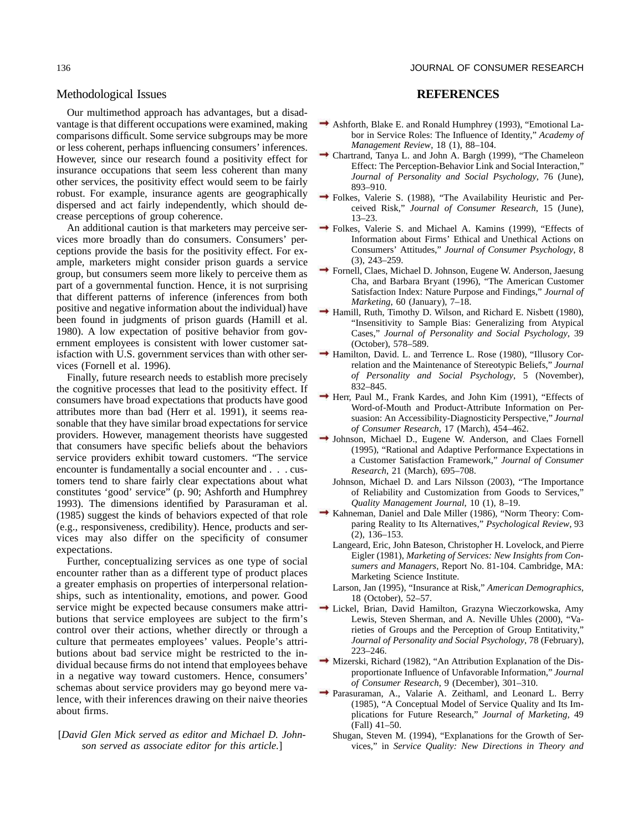### Methodological Issues

Our multimethod approach has advantages, but a disadvantage is that different occupations were examined, making comparisons difficult. Some service subgroups may be more or less coherent, perhaps influencing consumers' inferences. However, since our research found a positivity effect for insurance occupations that seem less coherent than many other services, the positivity effect would seem to be fairly robust. For example, insurance agents are geographically dispersed and act fairly independently, which should decrease perceptions of group coherence.

An additional caution is that marketers may perceive services more broadly than do consumers. Consumers' perceptions provide the basis for the positivity effect. For example, marketers might consider prison guards a service group, but consumers seem more likely to perceive them as part of a governmental function. Hence, it is not surprising that different patterns of inference (inferences from both positive and negative information about the individual) have been found in judgments of prison guards (Hamill et al. 1980). A low expectation of positive behavior from government employees is consistent with lower customer satisfaction with U.S. government services than with other services (Fornell et al. 1996).

Finally, future research needs to establish more precisely the cognitive processes that lead to the positivity effect. If consumers have broad expectations that products have good attributes more than bad (Herr et al. 1991), it seems reasonable that they have similar broad expectations for service providers. However, management theorists have suggested that consumers have specific beliefs about the behaviors service providers exhibit toward customers. "The service encounter is fundamentally a social encounter and . . . customers tend to share fairly clear expectations about what constitutes 'good' service" (p. 90; Ashforth and Humphrey 1993). The dimensions identified by Parasuraman et al. (1985) suggest the kinds of behaviors expected of that role (e.g., responsiveness, credibility). Hence, products and services may also differ on the specificity of consumer expectations.

Further, conceptualizing services as one type of social encounter rather than as a different type of product places a greater emphasis on properties of interpersonal relationships, such as intentionality, emotions, and power. Good service might be expected because consumers make attributions that service employees are subject to the firm's control over their actions, whether directly or through a culture that permeates employees' values. People's attributions about bad service might be restricted to the individual because firms do not intend that employees behave in a negative way toward customers. Hence, consumers' schemas about service providers may go beyond mere valence, with their inferences drawing on their naive theories about firms.

[*David Glen Mick served as editor and Michael D. Johnson served as associate editor for this article.*]

#### 136 JOURNAL OF CONSUMER RESEARCH

**REFERENCES**

- Ashforth, Blake E. and Ronald Humphrey (1993), "Emotional Labor in Service Roles: The Influence of Identity," *Academy of Management Review*, 18 (1), 88–104.
- Chartrand, Tanya L. and John A. Bargh (1999), "The Chameleon Effect: The Perception-Behavior Link and Social Interaction," *Journal of Personality and Social Psychology*, 76 (June), 893–910.
- Folkes, Valerie S. (1988), "The Availability Heuristic and Perceived Risk," *Journal of Consumer Research*, 15 (June), 13–23.
- Folkes, Valerie S. and Michael A. Kamins (1999), "Effects of Information about Firms' Ethical and Unethical Actions on Consumers' Attitudes," *Journal of Consumer Psychology*, 8 (3), 243–259.
- Fornell, Claes, Michael D. Johnson, Eugene W. Anderson, Jaesung Cha, and Barbara Bryant (1996), "The American Customer Satisfaction Index: Nature Purpose and Findings," *Journal of Marketing*, 60 (January), 7–18.
- Hamill, Ruth, Timothy D. Wilson, and Richard E. Nisbett (1980), "Insensitivity to Sample Bias: Generalizing from Atypical Cases," *Journal of Personality and Social Psychology*, 39 (October), 578–589.
- Hamilton, David. L. and Terrence L. Rose (1980), "Illusory Correlation and the Maintenance of Stereotypic Beliefs," *Journal of Personality and Social Psychology*, 5 (November), 832–845.
- Herr, Paul M., Frank Kardes, and John Kim (1991), "Effects of Word-of-Mouth and Product-Attribute Information on Persuasion: An Accessibility-Diagnosticity Perspective," *Journal of Consumer Research*, 17 (March), 454–462.
- Johnson, Michael D., Eugene W. Anderson, and Claes Fornell (1995), "Rational and Adaptive Performance Expectations in a Customer Satisfaction Framework," *Journal of Consumer Research*, 21 (March), 695–708.
	- Johnson, Michael D. and Lars Nilsson (2003), "The Importance of Reliability and Customization from Goods to Services," *Quality Management Journal*, 10 (1), 8–19.
- Kahneman, Daniel and Dale Miller (1986), "Norm Theory: Comparing Reality to Its Alternatives," *Psychological Review*, 93 (2), 136–153.
	- Langeard, Eric, John Bateson, Christopher H. Lovelock, and Pierre Eigler (1981), *Marketing of Services: New Insights from Consumers and Managers*, Report No. 81-104. Cambridge, MA: Marketing Science Institute.
	- Larson, Jan (1995), "Insurance at Risk," *American Demographics*, 18 (October), 52–57.
- Lickel, Brian, David Hamilton, Grazyna Wieczorkowska, Amy Lewis, Steven Sherman, and A. Neville Uhles (2000), "Varieties of Groups and the Perception of Group Entitativity," *Journal of Personality and Social Psychology*, 78 (February), 223–246.
- Mizerski, Richard (1982), "An Attribution Explanation of the Disproportionate Influence of Unfavorable Information," *Journal of Consumer Research*, 9 (December), 301–310.
- Parasuraman, A., Valarie A. Zeithaml, and Leonard L. Berry (1985), "A Conceptual Model of Service Quality and Its Implications for Future Research," *Journal of Marketing,* 49 (Fall) 41–50.
	- Shugan, Steven M. (1994), "Explanations for the Growth of Services," in *Service Quality: New Directions in Theory and*